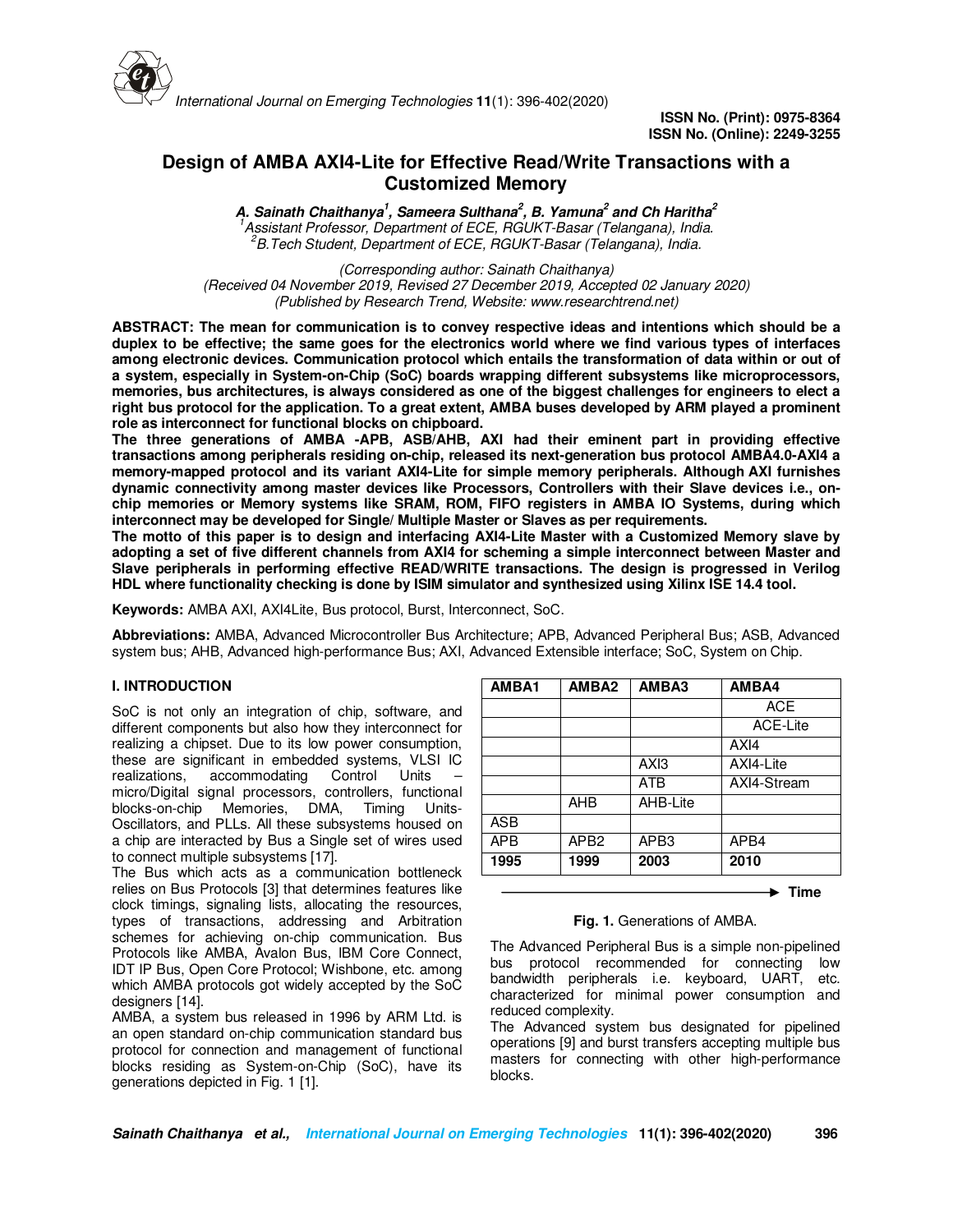

# **Design of AMBA AXI4-Lite for Effective Read/Write Transactions with a Customized Memory**

**A. Sainath Chaithanya<sup>1</sup> , Sameera Sulthana<sup>2</sup> , B. Yamuna<sup>2</sup> and Ch Haritha<sup>2</sup>** *<sup>1</sup>Assistant Professor, Department of ECE, RGUKT-Basar (Telangana), India. <sup>2</sup>B.Tech Student, Department of ECE, RGUKT-Basar (Telangana), India.*

*(Corresponding author: Sainath Chaithanya) (Received 04 November 2019, Revised 27 December 2019, Accepted 02 January 2020) (Published by Research Trend, Website: www.researchtrend.net)* 

**ABSTRACT: The mean for communication is to convey respective ideas and intentions which should be a duplex to be effective; the same goes for the electronics world where we find various types of interfaces among electronic devices. Communication protocol which entails the transformation of data within or out of a system, especially in System-on-Chip (SoC) boards wrapping different subsystems like microprocessors, memories, bus architectures, is always considered as one of the biggest challenges for engineers to elect a right bus protocol for the application. To a great extent, AMBA buses developed by ARM played a prominent role as interconnect for functional blocks on chipboard.** 

**The three generations of AMBA -APB, ASB/AHB, AXI had their eminent part in providing effective transactions among peripherals residing on-chip, released its next-generation bus protocol AMBA4.0-AXI4 a memory-mapped protocol and its variant AXI4-Lite for simple memory peripherals. Although AXI furnishes dynamic connectivity among master devices like Processors, Controllers with their Slave devices i.e., onchip memories or Memory systems like SRAM, ROM, FIFO registers in AMBA IO Systems, during which interconnect may be developed for Single/ Multiple Master or Slaves as per requirements.** 

**The motto of this paper is to design and interfacing AXI4-Lite Master with a Customized Memory slave by adopting a set of five different channels from AXI4 for scheming a simple interconnect between Master and Slave peripherals in performing effective READ/WRITE transactions. The design is progressed in Verilog HDL where functionality checking is done by ISIM simulator and synthesized using Xilinx ISE 14.4 tool.**

**Keywords:** AMBA AXI, AXI4Lite, Bus protocol, Burst, Interconnect, SoC.

**Abbreviations:** AMBA, Advanced Microcontroller Bus Architecture; APB, Advanced Peripheral Bus; ASB, Advanced system bus; AHB, Advanced high-performance Bus; AXI, Advanced Extensible interface; SoC, System on Chip.

## **I. INTRODUCTION**

SoC is not only an integration of chip, software, and different components but also how they interconnect for realizing a chipset. Due to its low power consumption, these are significant in embedded systems, VLSI IC<br>realizations. accommodating Control Units realizations, accommodating Control micro/Digital signal processors, controllers, functional blocks-on-chip Memories, DMA, Timing Units-Oscillators, and PLLs. All these subsystems housed on a chip are interacted by Bus a Single set of wires used to connect multiple subsystems [17].

The Bus which acts as a communication bottleneck relies on Bus Protocols [3] that determines features like clock timings, signaling lists, allocating the resources, types of transactions, addressing and Arbitration schemes for achieving on-chip communication. Bus Protocols like AMBA, Avalon Bus, IBM Core Connect, IDT IP Bus, Open Core Protocol; Wishbone, etc. among which AMBA protocols got widely accepted by the SoC designers [14].

AMBA, a system bus released in 1996 by ARM Ltd. is an open standard on-chip communication standard bus protocol for connection and management of functional blocks residing as System-on-Chip (SoC), have its generations depicted in Fig. 1 [1].

| AMBA1      | AMBA2            | AMBA3    | AMBA4       |
|------------|------------------|----------|-------------|
|            |                  |          | <b>ACE</b>  |
|            |                  |          | ACE-Lite    |
|            |                  |          | AXI4        |
|            |                  | AXI3     | AXI4-Lite   |
|            |                  | ATB      | AXI4-Stream |
|            | AHB              | AHB-Lite |             |
| ASB        |                  |          |             |
| <b>APB</b> | APB <sub>2</sub> | APB3     | APB4        |
| 1995       | 1999             | 2003     | 2010        |

 $\blacktriangleright$  Time

#### **Fig. 1.** Generations of AMBA.

The Advanced Peripheral Bus is a simple non-pipelined bus protocol recommended for connecting low bandwidth peripherals i.e. keyboard, UART, etc. characterized for minimal power consumption and reduced complexity.

The Advanced system bus designated for pipelined operations [9] and burst transfers accepting multiple bus masters for connecting with other high-performance blocks.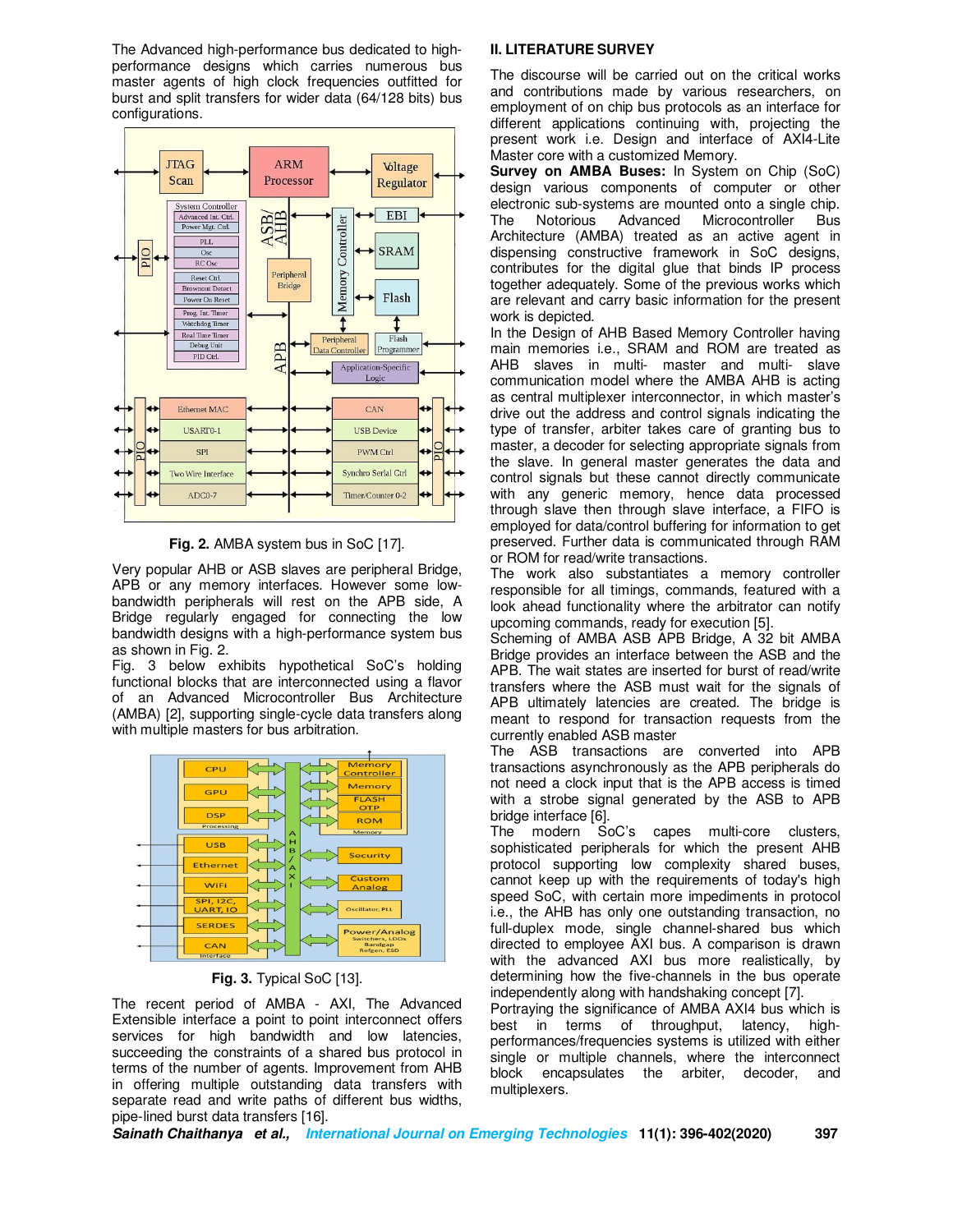The Advanced high-performance bus dedicated to highperformance designs which carries numerous bus master agents of high clock frequencies outfitted for burst and split transfers for wider data (64/128 bits) bus configurations.



**Fig. 2.** AMBA system bus in SoC [17].

Very popular AHB or ASB slaves are peripheral Bridge, APB or any memory interfaces. However some lowbandwidth peripherals will rest on the APB side, A Bridge regularly engaged for connecting the low bandwidth designs with a high-performance system bus as shown in Fig. 2.

Fig. 3 below exhibits hypothetical SoC's holding functional blocks that are interconnected using a flavor of an Advanced Microcontroller Bus Architecture (AMBA) [2], supporting single-cycle data transfers along with multiple masters for bus arbitration.



**Fig. 3.** Typical SoC [13].

The recent period of AMBA - AXI, The Advanced Extensible interface a point to point interconnect offers services for high bandwidth and low latencies, succeeding the constraints of a shared bus protocol in terms of the number of agents. Improvement from AHB in offering multiple outstanding data transfers with separate read and write paths of different bus widths, pipe-lined burst data transfers [16].

# **II. LITERATURE SURVEY**

The discourse will be carried out on the critical works and contributions made by various researchers, on employment of on chip bus protocols as an interface for different applications continuing with, projecting the present work i.e. Design and interface of AXI4-Lite Master core with a customized Memory.

**Survey on AMBA Buses:** In System on Chip (SoC) design various components of computer or other electronic sub-systems are mounted onto a single chip. The Notorious Advanced Microcontroller Bus Architecture (AMBA) treated as an active agent in dispensing constructive framework in SoC designs, contributes for the digital glue that binds IP process together adequately. Some of the previous works which are relevant and carry basic information for the present work is depicted.

In the Design of AHB Based Memory Controller having main memories i.e., SRAM and ROM are treated as AHB slaves in multi- master and multi- slave communication model where the AMBA AHB is acting as central multiplexer interconnector, in which master's drive out the address and control signals indicating the type of transfer, arbiter takes care of granting bus to master, a decoder for selecting appropriate signals from the slave. In general master generates the data and control signals but these cannot directly communicate with any generic memory, hence data processed through slave then through slave interface, a FIFO is employed for data/control buffering for information to get preserved. Further data is communicated through RAM or ROM for read/write transactions.

The work also substantiates a memory controller responsible for all timings, commands, featured with a look ahead functionality where the arbitrator can notify upcoming commands, ready for execution [5].

Scheming of AMBA ASB APB Bridge, A 32 bit AMBA Bridge provides an interface between the ASB and the APB. The wait states are inserted for burst of read/write transfers where the ASB must wait for the signals of APB ultimately latencies are created. The bridge is meant to respond for transaction requests from the currently enabled ASB master

The ASB transactions are converted into APB transactions asynchronously as the APB peripherals do not need a clock input that is the APB access is timed with a strobe signal generated by the ASB to APB bridge interface [6].

The modern SoC's capes multi-core clusters, sophisticated peripherals for which the present AHB protocol supporting low complexity shared buses, cannot keep up with the requirements of today's high speed SoC, with certain more impediments in protocol i.e., the AHB has only one outstanding transaction, no full-duplex mode, single channel-shared bus which directed to employee AXI bus. A comparison is drawn with the advanced AXI bus more realistically, by determining how the five-channels in the bus operate independently along with handshaking concept [7].

Portraying the significance of AMBA AXI4 bus which is best in terms of throughput, latency, highperformances/frequencies systems is utilized with either single or multiple channels, where the interconnect block encapsulates the arbiter, decoder, and multiplexers.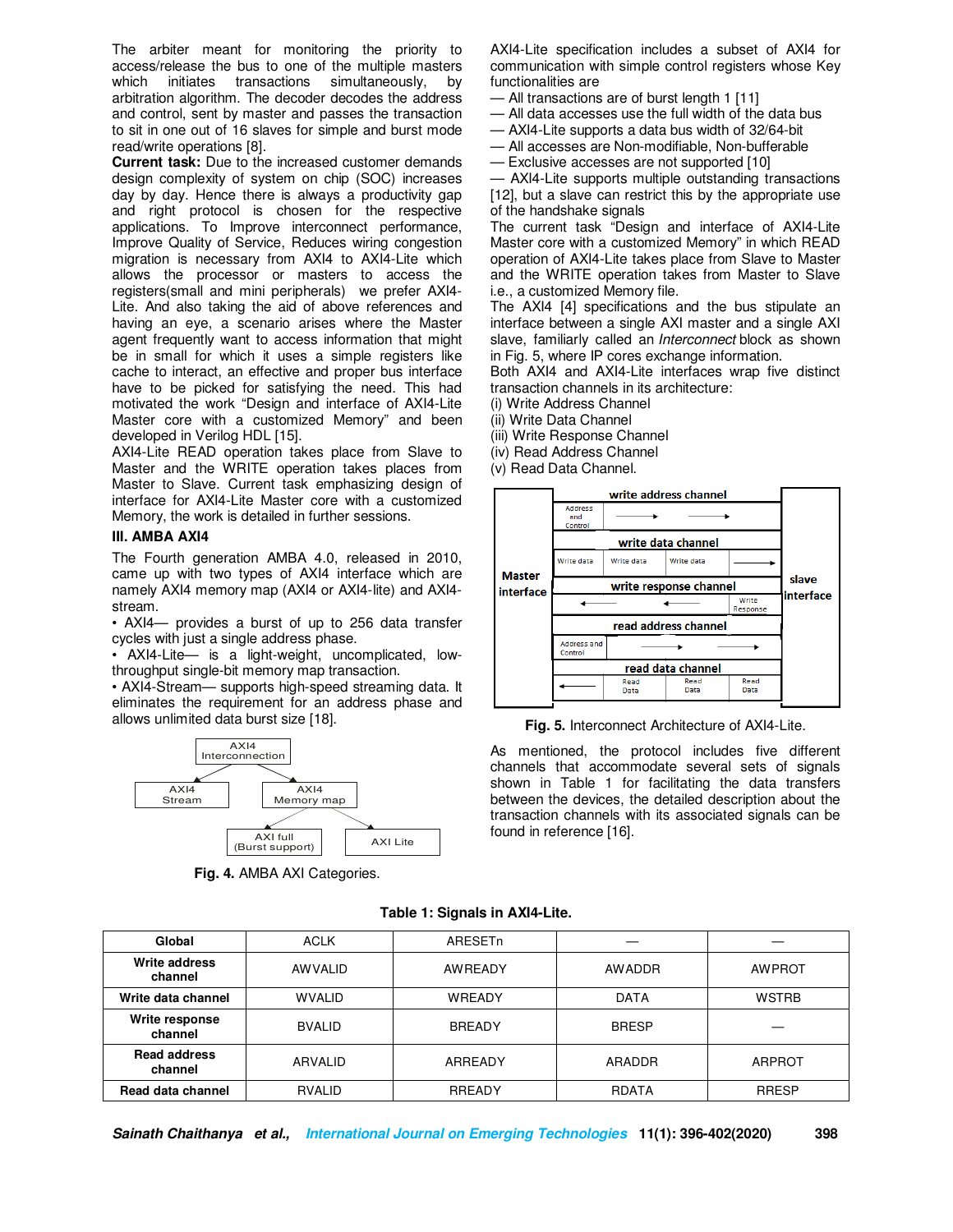The arbiter meant for monitoring the priority to access/release the bus to one of the multiple masters which initiates transactions simultaneously, by arbitration algorithm. The decoder decodes the address and control, sent by master and passes the transaction to sit in one out of 16 slaves for simple and burst mode read/write operations [8].

**Current task:** Due to the increased customer demands design complexity of system on chip (SOC) increases day by day. Hence there is always a productivity gap and right protocol is chosen for the respective applications. To Improve interconnect performance, Improve Quality of Service, Reduces wiring congestion migration is necessary from AXI4 to AXI4-Lite which allows the processor or masters to access the registers(small and mini peripherals) we prefer AXI4- Lite. And also taking the aid of above references and having an eye, a scenario arises where the Master agent frequently want to access information that might be in small for which it uses a simple registers like cache to interact, an effective and proper bus interface have to be picked for satisfying the need. This had motivated the work "Design and interface of AXI4-Lite Master core with a customized Memory" and been developed in Verilog HDL [15].

AXI4-Lite READ operation takes place from Slave to Master and the WRITE operation takes places from Master to Slave. Current task emphasizing design of interface for AXI4-Lite Master core with a customized Memory, the work is detailed in further sessions.

#### **III. AMBA AXI4**

The Fourth generation AMBA 4.0, released in 2010, came up with two types of AXI4 interface which are namely AXI4 memory map (AXI4 or AXI4-lite) and AXI4 stream.

• AXI4— provides a burst of up to 256 data transfer cycles with just a single address phase.

• AXI4-Lite— is a light-weight, uncomplicated, lowthroughput single-bit memory map transaction.

• AXI4-Stream— supports high-speed streaming data. It eliminates the requirement for an address phase and allows unlimited data burst size [18].



**Fig. 4.** AMBA AXI Categories.

AXI4-Lite specification includes a subset of AXI4 for communication with simple control registers whose Key functionalities are

— All transactions are of burst length 1 [11]

- All data accesses use the full width of the data bus
- AXI4-Lite supports a data bus width of 32/64-bit
- All accesses are Non-modifiable, Non-bufferable

— Exclusive accesses are not supported [10]

— AXI4-Lite supports multiple outstanding transactions [12], but a slave can restrict this by the appropriate use of the handshake signals

The current task "Design and interface of AXI4-Lite Master core with a customized Memory" in which READ operation of AXI4-Lite takes place from Slave to Master and the WRITE operation takes from Master to Slave i.e., a customized Memory file.

The AXI4 [4] specifications and the bus stipulate an interface between a single AXI master and a single AXI slave, familiarly called an *Interconnect* block as shown in Fig. 5, where IP cores exchange information.

Both AXI4 and AXI4-Lite interfaces wrap five distinct transaction channels in its architecture:

(i) Write Address Channel

(ii) Write Data Channel

(iii) Write Response Channel

(iv) Read Address Channel

(v) Read Data Channel.



**Fig. 5.** Interconnect Architecture of AXI4-Lite.

As mentioned, the protocol includes five different channels that accommodate several sets of signals shown in Table 1 for facilitating the data transfers between the devices, the detailed description about the transaction channels with its associated signals can be found in reference [16].

| Global                         | <b>ACLK</b>    | <b>ARESETn</b> |               |               |  |
|--------------------------------|----------------|----------------|---------------|---------------|--|
| Write address<br>channel       | <b>AWVALID</b> | <b>AWREADY</b> | <b>AWADDR</b> | <b>AWPROT</b> |  |
| Write data channel             | <b>WVALID</b>  | <b>WREADY</b>  | <b>DATA</b>   | <b>WSTRB</b>  |  |
| Write response<br>channel      | <b>BVALID</b>  | <b>BREADY</b>  | <b>BRESP</b>  |               |  |
| <b>Read address</b><br>channel | ARVALID        | ARREADY        | ARADDR        | <b>ARPROT</b> |  |
| Read data channel<br>RVALID    |                | <b>RREADY</b>  | RDATA         | <b>RRESP</b>  |  |

## **Table 1: Signals in AXI4-Lite.**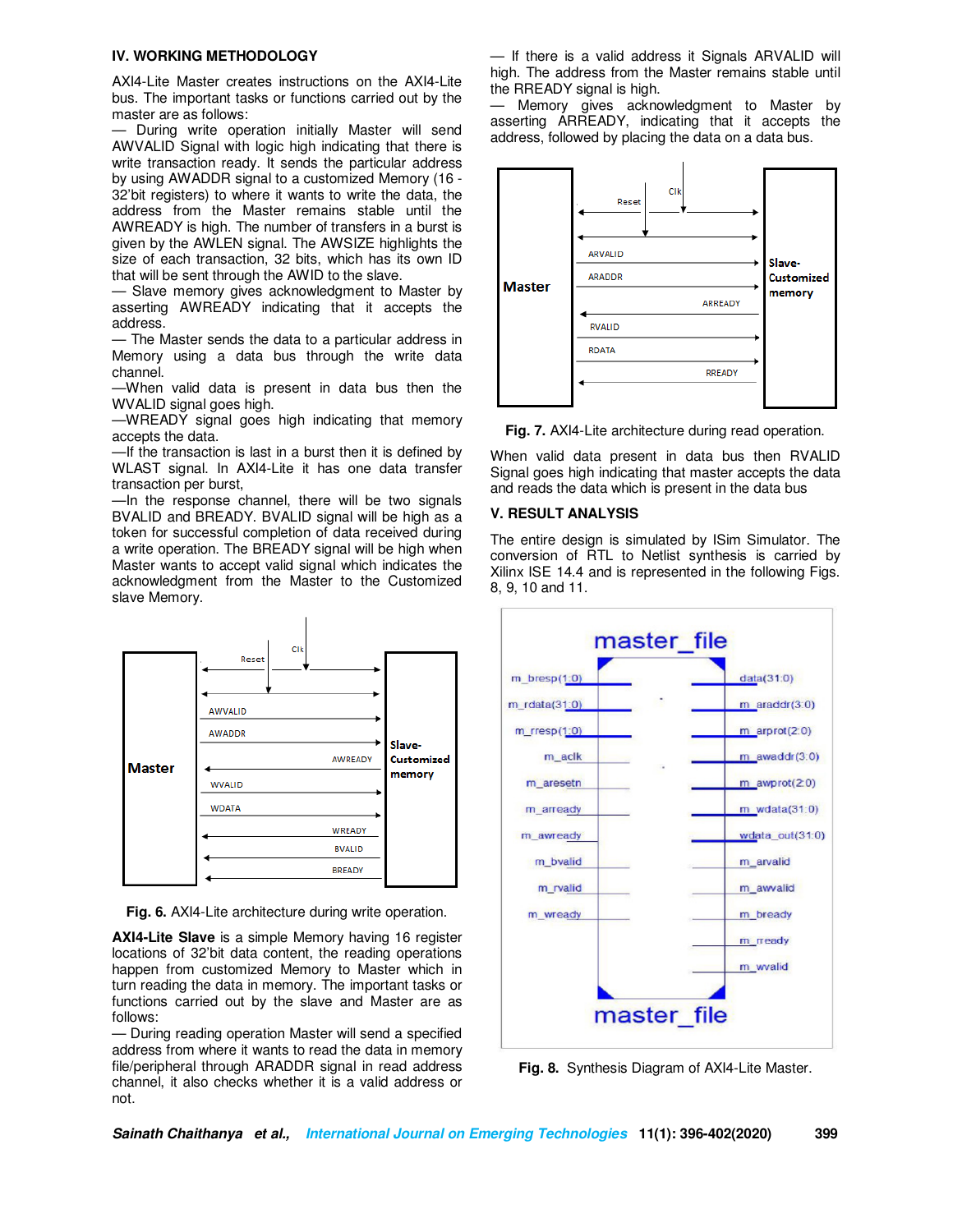#### **IV. WORKING METHODOLOGY**

AXI4-Lite Master creates instructions on the AXI4-Lite bus. The important tasks or functions carried out by the master are as follows:

— During write operation initially Master will send AWVALID Signal with logic high indicating that there is write transaction ready. It sends the particular address by using AWADDR signal to a customized Memory (16 - 32'bit registers) to where it wants to write the data, the address from the Master remains stable until the AWREADY is high. The number of transfers in a burst is given by the AWLEN signal. The AWSIZE highlights the size of each transaction, 32 bits, which has its own ID that will be sent through the AWID to the slave.

— Slave memory gives acknowledgment to Master by asserting AWREADY indicating that it accepts the address.

— The Master sends the data to a particular address in Memory using a data bus through the write data channel.

—When valid data is present in data bus then the WVALID signal goes high.

—WREADY signal goes high indicating that memory accepts the data.

—If the transaction is last in a burst then it is defined by WLAST signal. In AXI4-Lite it has one data transfer transaction per burst,

—In the response channel, there will be two signals BVALID and BREADY. BVALID signal will be high as a token for successful completion of data received during a write operation. The BREADY signal will be high when Master wants to accept valid signal which indicates the acknowledgment from the Master to the Customized slave Memory.



**Fig. 6.** AXI4-Lite architecture during write operation.

**AXI4-Lite Slave** is a simple Memory having 16 register locations of 32'bit data content, the reading operations happen from customized Memory to Master which in turn reading the data in memory. The important tasks or functions carried out by the slave and Master are as follows:

— During reading operation Master will send a specified address from where it wants to read the data in memory file/peripheral through ARADDR signal in read address channel, it also checks whether it is a valid address or not.

— If there is a valid address it Signals ARVALID will high. The address from the Master remains stable until the RREADY signal is high.

— Memory gives acknowledgment to Master by asserting ARREADY, indicating that it accepts the address, followed by placing the data on a data bus.



**Fig. 7.** AXI4-Lite architecture during read operation.

When valid data present in data bus then RVALID Signal goes high indicating that master accepts the data and reads the data which is present in the data bus

# **V. RESULT ANALYSIS**

The entire design is simulated by ISim Simulator. The conversion of RTL to Netlist synthesis is carried by Xilinx ISE 14.4 and is represented in the following Figs. 8, 9, 10 and 11.



**Fig. 8.** Synthesis Diagram of AXI4-Lite Master.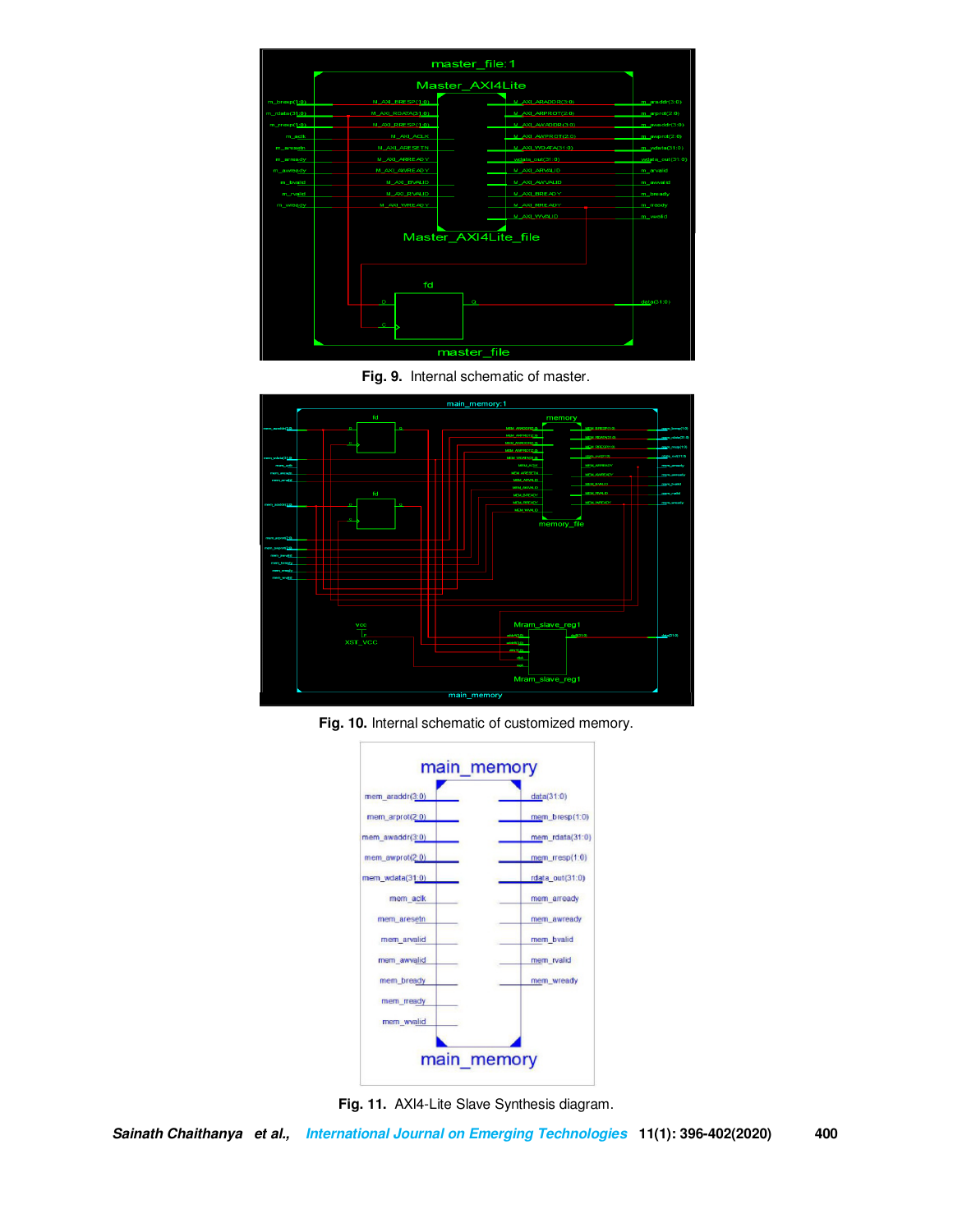





**Fig. 10.** Internal schematic of customized memory.



**Fig. 11.** AXI4-Lite Slave Synthesis diagram.

**Sainath Chaithanya et al., International Journal on Emerging Technologies 11(1): 396-402(2020) 400**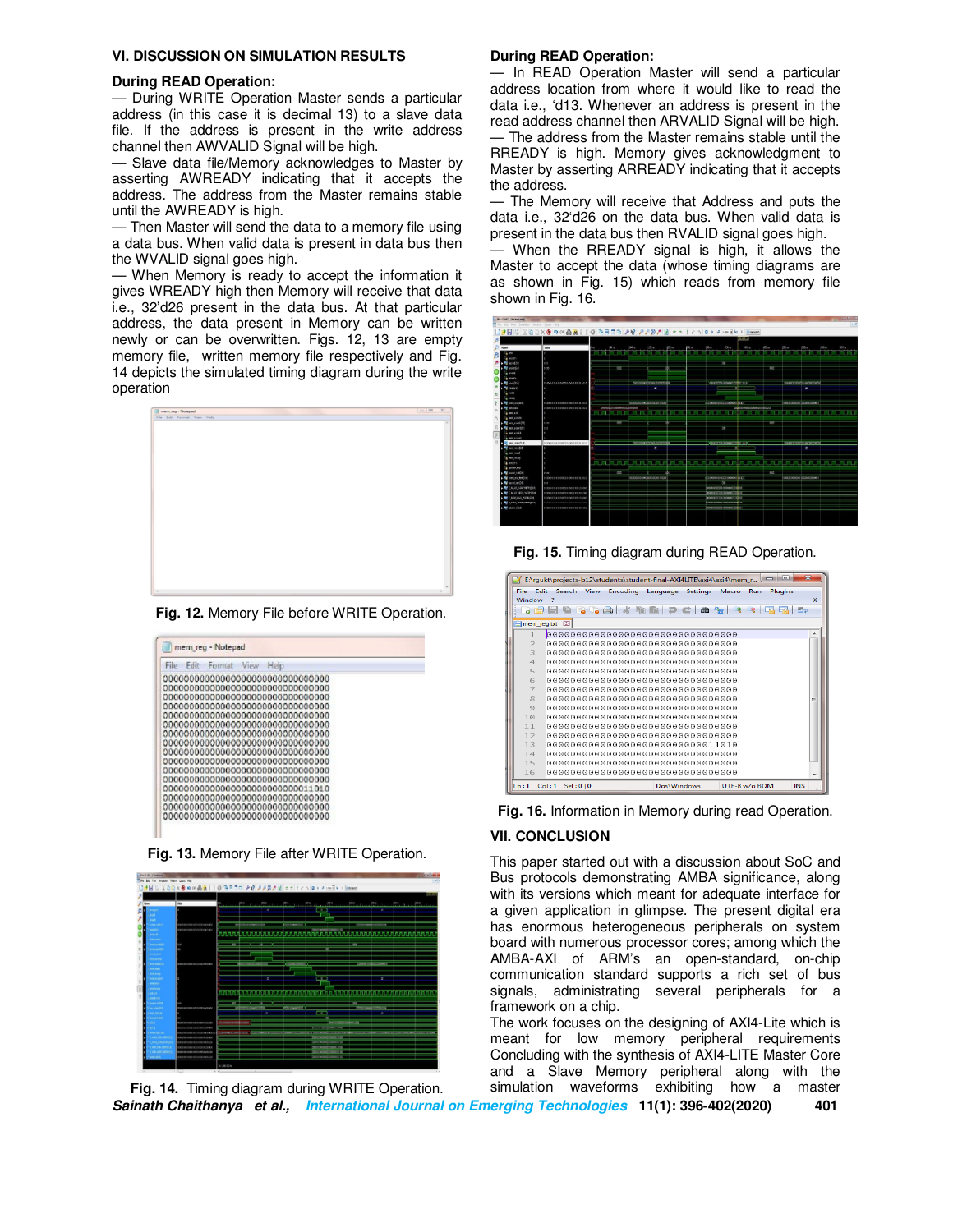#### **VI. DISCUSSION ON SIMULATION RESULTS**

#### **During READ Operation:**

— During WRITE Operation Master sends a particular address (in this case it is decimal 13) to a slave data file. If the address is present in the write address channel then AWVALID Signal will be high.

— Slave data file/Memory acknowledges to Master by asserting AWREADY indicating that it accepts the address. The address from the Master remains stable until the AWREADY is high.

— Then Master will send the data to a memory file using a data bus. When valid data is present in data bus then the WVALID signal goes high.

— When Memory is ready to accept the information it gives WREADY high then Memory will receive that data i.e., 32'd26 present in the data bus. At that particular address, the data present in Memory can be written newly or can be overwritten. Figs. 12, 13 are empty memory file, written memory file respectively and Fig. 14 depicts the simulated timing diagram during the write operation



**Fig. 12.** Memory File before WRITE Operation.

| File:<br>Folt<br>Format<br>Vipor<br>Help |  |
|------------------------------------------|--|
| 000000000000000000000000000000000        |  |
| 000000000000000000000000000000000        |  |
| 000000000000000000000000000000000        |  |
| 000000000000000000000000000000000        |  |
| 0000000000000000000000000000000000       |  |
|                                          |  |
| 000000000000000000000000000000000        |  |
| 0000000000000000000000000000000000       |  |
| 000000000000000000000000000000000        |  |
|                                          |  |
| 000000000000000000000000000000000        |  |
| 000000000000000000000000000000000        |  |
| 000000000000000000000000000011010        |  |
|                                          |  |
|                                          |  |
| 000000000000000000000000000000000        |  |

**Fig. 13.** Memory File after WRITE Operation.



#### **During READ Operation:**

— In READ Operation Master will send a particular address location from where it would like to read the data i.e., 'd13. Whenever an address is present in the read address channel then ARVALID Signal will be high. — The address from the Master remains stable until the RREADY is high. Memory gives acknowledgment to Master by asserting ARREADY indicating that it accepts the address.

— The Memory will receive that Address and puts the data i.e., 32'd26 on the data bus. When valid data is present in the data bus then RVALID signal goes high.

— When the RREADY signal is high, it allows the Master to accept the data (whose timing diagrams are as shown in Fig. 15) which reads from memory file shown in Fig. 16.



**Fig. 15.** Timing diagram during READ Operation.

|                |               |               |      |                               |                                    |             |                 | E:\rqukt\projects-b12\students\student-final-AXI4LITE\axi4\axi4\mem_r |               | $\Box$ $\Box$ | $\overline{\mathbf{x}}$ |   |
|----------------|---------------|---------------|------|-------------------------------|------------------------------------|-------------|-----------------|-----------------------------------------------------------------------|---------------|---------------|-------------------------|---|
| File<br>Window | Edit          | <b>Search</b> | View | <b>Encoding</b>               | Language                           |             | <b>Settings</b> | Macro                                                                 | Run           | Plugins       |                         | x |
|                |               |               |      | $\bullet$ $\bullet$ $\bullet$ | <b>Fin</b><br>- Final              |             | 曲               | 每                                                                     |               |               |                         |   |
|                |               |               |      |                               |                                    |             |                 |                                                                       |               |               |                         |   |
|                | mem_reg.bd E3 |               |      |                               |                                    |             |                 |                                                                       |               |               |                         |   |
|                |               |               |      |                               | 000000000000000000000000000000000  |             |                 |                                                                       |               |               |                         | ۰ |
| $\overline{2}$ |               |               |      |                               | 000000000000000000000000000000000  |             |                 |                                                                       |               |               |                         |   |
| $\overline{a}$ |               |               |      |                               | 00000000000000000000000000000000   |             |                 |                                                                       |               |               |                         |   |
| $\overline{4}$ |               |               |      |                               | 0000000000000000000000000000000000 |             |                 |                                                                       |               |               |                         |   |
| 5              |               |               |      |                               |                                    |             |                 |                                                                       |               |               |                         |   |
| 6              |               |               |      |                               | 00000000000000000000000000000000   |             |                 |                                                                       |               |               |                         |   |
| $\overline{7}$ |               |               |      |                               | 0000000000000000000000000000000000 |             |                 |                                                                       |               |               |                         |   |
| 8              |               |               |      |                               | 0000000000000000000000000000000000 |             |                 |                                                                       |               |               |                         | Ξ |
| $\circ$        |               |               |      |                               | 00000000000000000000000000000000   |             |                 |                                                                       |               |               |                         |   |
| 10             |               |               |      |                               | 00000000000000000000000000000000   |             |                 |                                                                       |               |               |                         |   |
| 11             |               |               |      |                               |                                    |             |                 |                                                                       |               |               |                         |   |
| 12             |               |               |      |                               |                                    |             |                 |                                                                       |               |               |                         |   |
| 13             |               |               |      |                               |                                    |             |                 |                                                                       |               |               |                         |   |
| 14             |               |               |      |                               |                                    |             |                 |                                                                       |               |               |                         |   |
| 15             |               |               |      |                               |                                    |             |                 |                                                                       |               |               |                         |   |
| 16             |               |               |      |                               | 000000000000000000000000000000000  |             |                 |                                                                       |               |               |                         |   |
| Ln:1           | Col:1 Sel:010 |               |      |                               |                                    | Dos\Windows |                 |                                                                       | UTF-8 w/o BOM |               | <b>INS</b>              |   |

**Fig. 16.** Information in Memory during read Operation.

# **VII. CONCLUSION**

This paper started out with a discussion about SoC and Bus protocols demonstrating AMBA significance, along with its versions which meant for adequate interface for a given application in glimpse. The present digital era has enormous heterogeneous peripherals on system board with numerous processor cores; among which the AMBA-AXI of ARM's an open-standard, on-chip communication standard supports a rich set of bus signals, administrating several peripherals for a framework on a chip.

The work focuses on the designing of AXI4-Lite which is meant for low memory peripheral requirements Concluding with the synthesis of AXI4-LITE Master Core and a Slave Memory peripheral along with the simulation waveforms exhibiting how a master

**Sainath Chaithanya et al., International Journal on Emerging Technologies 11(1): 396-402(2020) 401 Fig. 14.** Timing diagram during WRITE Operation.